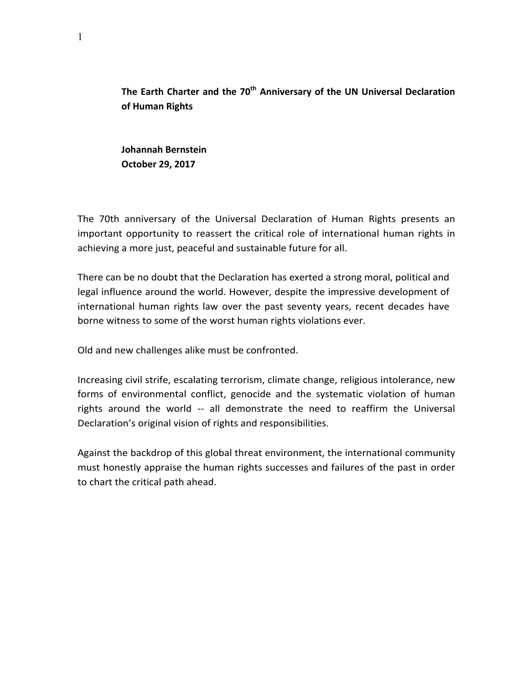The Earth Charter and the 70<sup>th</sup> Anniversary of the UN Universal Declaration **of Human Rights**

**Johannah Bernstein October 29, 2017**

The 70th anniversary of the Universal Declaration of Human Rights presents an important opportunity to reassert the critical role of international human rights in achieving a more just, peaceful and sustainable future for all.

There can be no doubt that the Declaration has exerted a strong moral, political and legal influence around the world. However, despite the impressive development of international human rights law over the past seventy years, recent decades have borne witness to some of the worst human rights violations ever.

Old and new challenges alike must be confronted.

Increasing civil strife, escalating terrorism, climate change, religious intolerance, new forms of environmental conflict, genocide and the systematic violation of human rights around the world -- all demonstrate the need to reaffirm the Universal Declaration's original vision of rights and responsibilities.

Against the backdrop of this global threat environment, the international community must honestly appraise the human rights successes and failures of the past in order to chart the critical path ahead.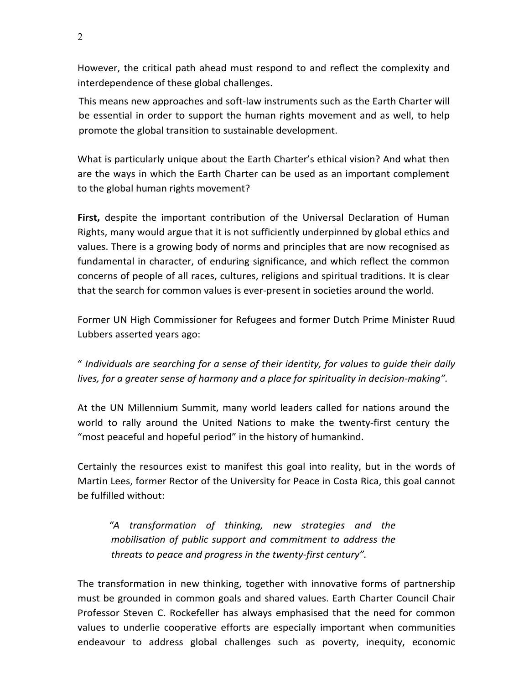However, the critical path ahead must respond to and reflect the complexity and interdependence of these global challenges.

This means new approaches and soft-law instruments such as the Earth Charter will be essential in order to support the human rights movement and as well, to help promote the global transition to sustainable development.

What is particularly unique about the Earth Charter's ethical vision? And what then are the ways in which the Earth Charter can be used as an important complement to the global human rights movement?

**First,** despite the important contribution of the Universal Declaration of Human Rights, many would argue that it is not sufficiently underpinned by global ethics and values. There is a growing body of norms and principles that are now recognised as fundamental in character, of enduring significance, and which reflect the common concerns of people of all races, cultures, religions and spiritual traditions. It is clear that the search for common values is ever-present in societies around the world.

Former UN High Commissioner for Refugees and former Dutch Prime Minister Ruud Lubbers asserted years ago:

" *Individuals are searching for a sense of their identity, for values to guide their daily lives, for a greater sense of harmony and a place for spirituality in decision-making".* 

At the UN Millennium Summit, many world leaders called for nations around the world to rally around the United Nations to make the twenty-first century the "most peaceful and hopeful period" in the history of humankind.

Certainly the resources exist to manifest this goal into reality, but in the words of Martin Lees, former Rector of the University for Peace in Costa Rica, this goal cannot be fulfilled without:

*"A transformation of thinking, new strategies and the mobilisation of public support and commitment to address the threats to peace and progress in the twenty-first century".* 

The transformation in new thinking, together with innovative forms of partnership must be grounded in common goals and shared values. Earth Charter Council Chair Professor Steven C. Rockefeller has always emphasised that the need for common values to underlie cooperative efforts are especially important when communities endeavour to address global challenges such as poverty, inequity, economic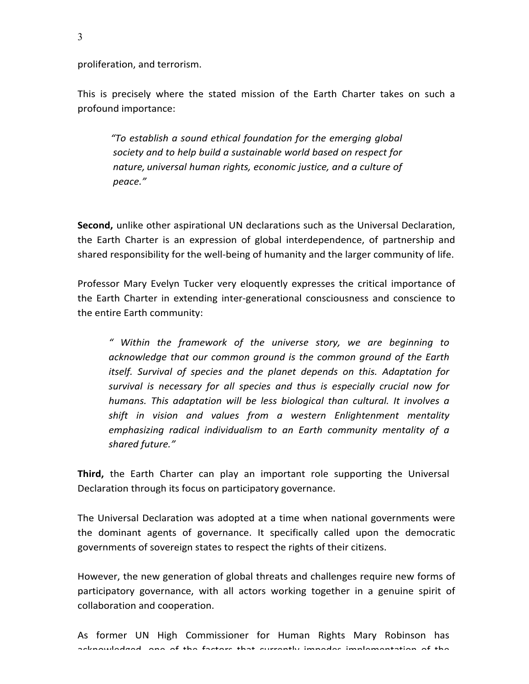proliferation, and terrorism.

This is precisely where the stated mission of the Earth Charter takes on such a profound importance:

"To establish a sound ethical foundation for the emerging global society and to help build a sustainable world based on respect for *nature, universal human rights, economic justice, and a culture of peace."*

**Second,** unlike other aspirational UN declarations such as the Universal Declaration, the Earth Charter is an expression of global interdependence, of partnership and shared responsibility for the well-being of humanity and the larger community of life.

Professor Mary Evelyn Tucker very eloquently expresses the critical importance of the Earth Charter in extending inter-generational consciousness and conscience to the entire Earth community:

*" Within the framework of the universe story, we are beginning to*  acknowledge that our common ground is the common ground of the Earth *itself.* Survival of species and the planet depends on this. Adaptation for survival is necessary for all species and thus is especially crucial now for *humans.* This adaptation will be less biological than cultural. It involves a *shift* in vision and values from a western Enlightenment mentality emphasizing radical individualism to an Earth community mentality of a *shared future."*

**Third,** the Earth Charter can play an important role supporting the Universal Declaration through its focus on participatory governance.

The Universal Declaration was adopted at a time when national governments were the dominant agents of governance. It specifically called upon the democratic governments of sovereign states to respect the rights of their citizens.

However, the new generation of global threats and challenges require new forms of participatory governance, with all actors working together in a genuine spirit of collaboration and cooperation.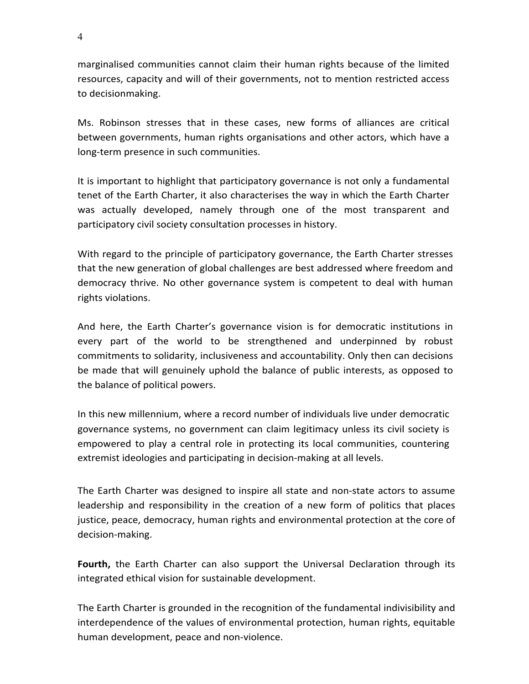marginalised communities cannot claim their human rights because of the limited resources, capacity and will of their governments, not to mention restricted access to decisionmaking.

Ms. Robinson stresses that in these cases, new forms of alliances are critical between governments, human rights organisations and other actors, which have a long-term presence in such communities.

It is important to highlight that participatory governance is not only a fundamental tenet of the Earth Charter, it also characterises the way in which the Earth Charter was actually developed, namely through one of the most transparent and participatory civil society consultation processes in history.

With regard to the principle of participatory governance, the Earth Charter stresses that the new generation of global challenges are best addressed where freedom and democracy thrive. No other governance system is competent to deal with human rights violations.

And here, the Earth Charter's governance vision is for democratic institutions in every part of the world to be strengthened and underpinned by robust commitments to solidarity, inclusiveness and accountability. Only then can decisions be made that will genuinely uphold the balance of public interests, as opposed to the balance of political powers.

In this new millennium, where a record number of individuals live under democratic governance systems, no government can claim legitimacy unless its civil society is empowered to play a central role in protecting its local communities, countering extremist ideologies and participating in decision-making at all levels.

The Earth Charter was designed to inspire all state and non-state actors to assume leadership and responsibility in the creation of a new form of politics that places justice, peace, democracy, human rights and environmental protection at the core of decision-making.

**Fourth,** the Earth Charter can also support the Universal Declaration through its integrated ethical vision for sustainable development.

The Earth Charter is grounded in the recognition of the fundamental indivisibility and interdependence of the values of environmental protection, human rights, equitable human development, peace and non-violence.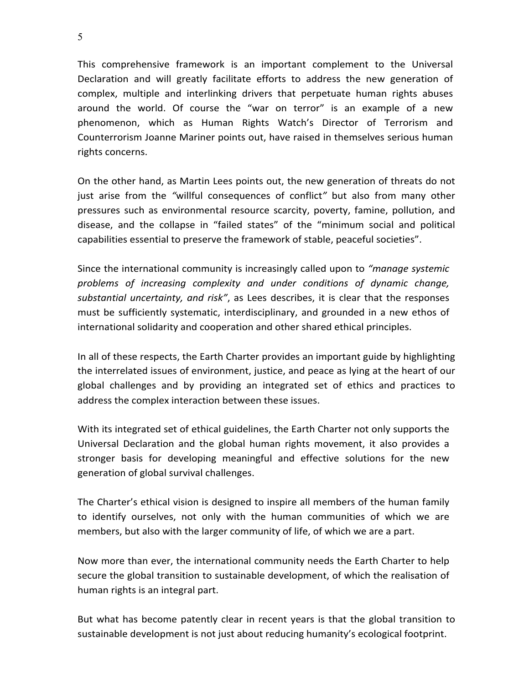This comprehensive framework is an important complement to the Universal Declaration and will greatly facilitate efforts to address the new generation of complex, multiple and interlinking drivers that perpetuate human rights abuses around the world. Of course the "war on terror" is an example of a new phenomenon, which as Human Rights Watch's Director of Terrorism and Counterrorism Joanne Mariner points out, have raised in themselves serious human rights concerns.

On the other hand, as Martin Lees points out, the new generation of threats do not just arise from the "willful consequences of conflict" but also from many other pressures such as environmental resource scarcity, poverty, famine, pollution, and disease, and the collapse in "failed states" of the "minimum social and political capabilities essential to preserve the framework of stable, peaceful societies".

Since the international community is increasingly called upon to *"manage systemic problems of increasing complexity and under conditions of dynamic change,*  substantial uncertainty, and risk", as Lees describes, it is clear that the responses must be sufficiently systematic, interdisciplinary, and grounded in a new ethos of international solidarity and cooperation and other shared ethical principles.

In all of these respects, the Earth Charter provides an important guide by highlighting the interrelated issues of environment, justice, and peace as lying at the heart of our global challenges and by providing an integrated set of ethics and practices to address the complex interaction between these issues.

With its integrated set of ethical guidelines, the Earth Charter not only supports the Universal Declaration and the global human rights movement, it also provides a stronger basis for developing meaningful and effective solutions for the new generation of global survival challenges.

The Charter's ethical vision is designed to inspire all members of the human family to identify ourselves, not only with the human communities of which we are members, but also with the larger community of life, of which we are a part.

Now more than ever, the international community needs the Earth Charter to help secure the global transition to sustainable development, of which the realisation of human rights is an integral part.

But what has become patently clear in recent years is that the global transition to sustainable development is not just about reducing humanity's ecological footprint.